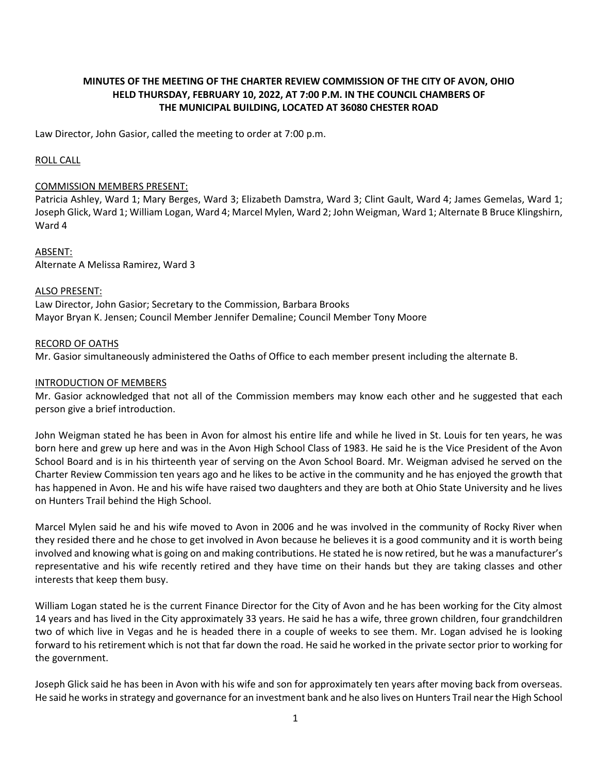# **MINUTES OF THE MEETING OF THE CHARTER REVIEW COMMISSION OF THE CITY OF AVON, OHIO HELD THURSDAY, FEBRUARY 10, 2022, AT 7:00 P.M. IN THE COUNCIL CHAMBERS OF THE MUNICIPAL BUILDING, LOCATED AT 36080 CHESTER ROAD**

Law Director, John Gasior, called the meeting to order at 7:00 p.m.

## ROLL CALL

#### COMMISSION MEMBERS PRESENT:

Patricia Ashley, Ward 1; Mary Berges, Ward 3; Elizabeth Damstra, Ward 3; Clint Gault, Ward 4; James Gemelas, Ward 1; Joseph Glick, Ward 1; William Logan, Ward 4; Marcel Mylen, Ward 2; John Weigman, Ward 1; Alternate B Bruce Klingshirn, Ward 4

ABSENT: Alternate A Melissa Ramirez, Ward 3

#### ALSO PRESENT:

Law Director, John Gasior; Secretary to the Commission, Barbara Brooks Mayor Bryan K. Jensen; Council Member Jennifer Demaline; Council Member Tony Moore

## RECORD OF OATHS

Mr. Gasior simultaneously administered the Oaths of Office to each member present including the alternate B.

## INTRODUCTION OF MEMBERS

Mr. Gasior acknowledged that not all of the Commission members may know each other and he suggested that each person give a brief introduction.

John Weigman stated he has been in Avon for almost his entire life and while he lived in St. Louis for ten years, he was born here and grew up here and was in the Avon High School Class of 1983. He said he is the Vice President of the Avon School Board and is in his thirteenth year of serving on the Avon School Board. Mr. Weigman advised he served on the Charter Review Commission ten years ago and he likes to be active in the community and he has enjoyed the growth that has happened in Avon. He and his wife have raised two daughters and they are both at Ohio State University and he lives on Hunters Trail behind the High School.

Marcel Mylen said he and his wife moved to Avon in 2006 and he was involved in the community of Rocky River when they resided there and he chose to get involved in Avon because he believes it is a good community and it is worth being involved and knowing what is going on and making contributions. He stated he is now retired, but he was a manufacturer's representative and his wife recently retired and they have time on their hands but they are taking classes and other interests that keep them busy.

William Logan stated he is the current Finance Director for the City of Avon and he has been working for the City almost 14 years and has lived in the City approximately 33 years. He said he has a wife, three grown children, four grandchildren two of which live in Vegas and he is headed there in a couple of weeks to see them. Mr. Logan advised he is looking forward to his retirement which is not that far down the road. He said he worked in the private sector prior to working for the government.

Joseph Glick said he has been in Avon with his wife and son for approximately ten years after moving back from overseas. He said he works in strategy and governance for an investment bank and he also lives on Hunters Trail near the High School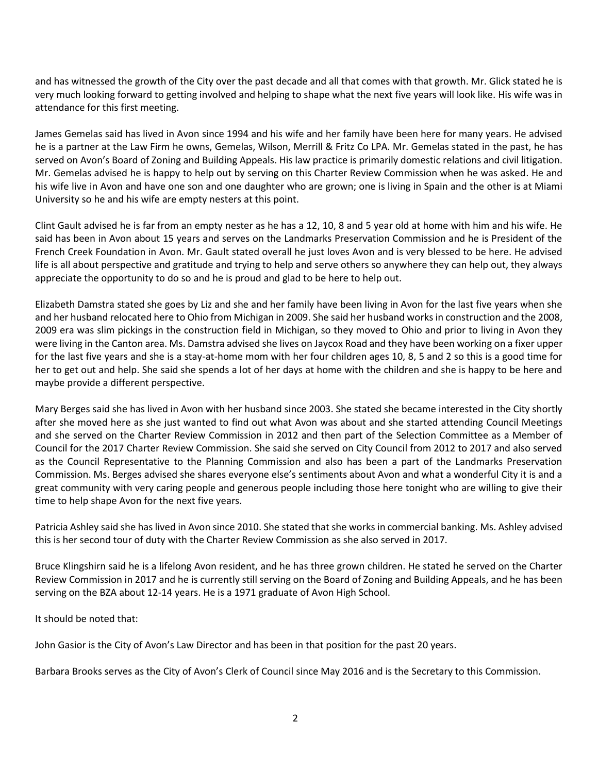and has witnessed the growth of the City over the past decade and all that comes with that growth. Mr. Glick stated he is very much looking forward to getting involved and helping to shape what the next five years will look like. His wife was in attendance for this first meeting.

James Gemelas said has lived in Avon since 1994 and his wife and her family have been here for many years. He advised he is a partner at the Law Firm he owns, Gemelas, Wilson, Merrill & Fritz Co LPA. Mr. Gemelas stated in the past, he has served on Avon's Board of Zoning and Building Appeals. His law practice is primarily domestic relations and civil litigation. Mr. Gemelas advised he is happy to help out by serving on this Charter Review Commission when he was asked. He and his wife live in Avon and have one son and one daughter who are grown; one is living in Spain and the other is at Miami University so he and his wife are empty nesters at this point.

Clint Gault advised he is far from an empty nester as he has a 12, 10, 8 and 5 year old at home with him and his wife. He said has been in Avon about 15 years and serves on the Landmarks Preservation Commission and he is President of the French Creek Foundation in Avon. Mr. Gault stated overall he just loves Avon and is very blessed to be here. He advised life is all about perspective and gratitude and trying to help and serve others so anywhere they can help out, they always appreciate the opportunity to do so and he is proud and glad to be here to help out.

Elizabeth Damstra stated she goes by Liz and she and her family have been living in Avon for the last five years when she and her husband relocated here to Ohio from Michigan in 2009. She said her husband works in construction and the 2008, 2009 era was slim pickings in the construction field in Michigan, so they moved to Ohio and prior to living in Avon they were living in the Canton area. Ms. Damstra advised she lives on Jaycox Road and they have been working on a fixer upper for the last five years and she is a stay-at-home mom with her four children ages 10, 8, 5 and 2 so this is a good time for her to get out and help. She said she spends a lot of her days at home with the children and she is happy to be here and maybe provide a different perspective.

Mary Berges said she has lived in Avon with her husband since 2003. She stated she became interested in the City shortly after she moved here as she just wanted to find out what Avon was about and she started attending Council Meetings and she served on the Charter Review Commission in 2012 and then part of the Selection Committee as a Member of Council for the 2017 Charter Review Commission. She said she served on City Council from 2012 to 2017 and also served as the Council Representative to the Planning Commission and also has been a part of the Landmarks Preservation Commission. Ms. Berges advised she shares everyone else's sentiments about Avon and what a wonderful City it is and a great community with very caring people and generous people including those here tonight who are willing to give their time to help shape Avon for the next five years.

Patricia Ashley said she has lived in Avon since 2010. She stated that she works in commercial banking. Ms. Ashley advised this is her second tour of duty with the Charter Review Commission as she also served in 2017.

Bruce Klingshirn said he is a lifelong Avon resident, and he has three grown children. He stated he served on the Charter Review Commission in 2017 and he is currently still serving on the Board of Zoning and Building Appeals, and he has been serving on the BZA about 12-14 years. He is a 1971 graduate of Avon High School.

It should be noted that:

John Gasior is the City of Avon's Law Director and has been in that position for the past 20 years.

Barbara Brooks serves as the City of Avon's Clerk of Council since May 2016 and is the Secretary to this Commission.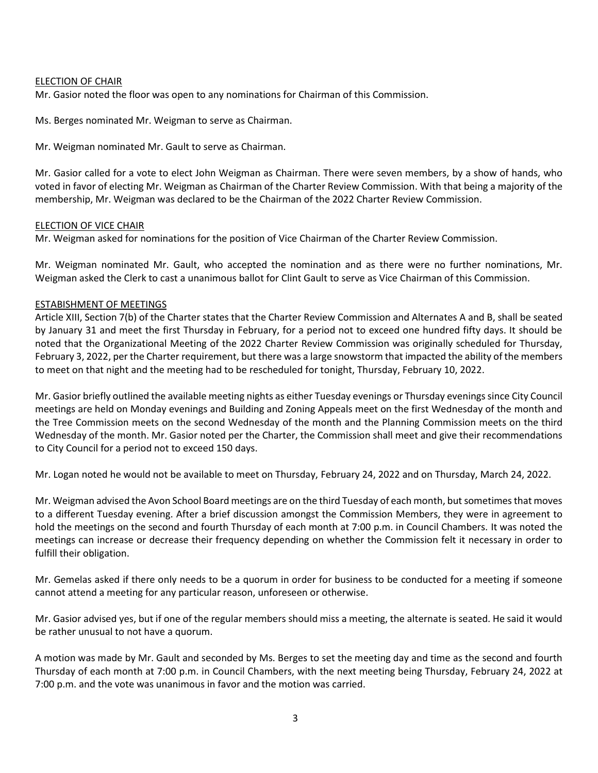#### ELECTION OF CHAIR

Mr. Gasior noted the floor was open to any nominations for Chairman of this Commission.

Ms. Berges nominated Mr. Weigman to serve as Chairman.

Mr. Weigman nominated Mr. Gault to serve as Chairman.

Mr. Gasior called for a vote to elect John Weigman as Chairman. There were seven members, by a show of hands, who voted in favor of electing Mr. Weigman as Chairman of the Charter Review Commission. With that being a majority of the membership, Mr. Weigman was declared to be the Chairman of the 2022 Charter Review Commission.

#### ELECTION OF VICE CHAIR

Mr. Weigman asked for nominations for the position of Vice Chairman of the Charter Review Commission.

Mr. Weigman nominated Mr. Gault, who accepted the nomination and as there were no further nominations, Mr. Weigman asked the Clerk to cast a unanimous ballot for Clint Gault to serve as Vice Chairman of this Commission.

## ESTABISHMENT OF MEETINGS

Article XIII, Section 7(b) of the Charter states that the Charter Review Commission and Alternates A and B, shall be seated by January 31 and meet the first Thursday in February, for a period not to exceed one hundred fifty days. It should be noted that the Organizational Meeting of the 2022 Charter Review Commission was originally scheduled for Thursday, February 3, 2022, per the Charter requirement, but there was a large snowstorm that impacted the ability of the members to meet on that night and the meeting had to be rescheduled for tonight, Thursday, February 10, 2022.

Mr. Gasior briefly outlined the available meeting nights as either Tuesday evenings or Thursday evenings since City Council meetings are held on Monday evenings and Building and Zoning Appeals meet on the first Wednesday of the month and the Tree Commission meets on the second Wednesday of the month and the Planning Commission meets on the third Wednesday of the month. Mr. Gasior noted per the Charter, the Commission shall meet and give their recommendations to City Council for a period not to exceed 150 days.

Mr. Logan noted he would not be available to meet on Thursday, February 24, 2022 and on Thursday, March 24, 2022.

Mr. Weigman advised the Avon School Board meetings are on the third Tuesday of each month, but sometimes that moves to a different Tuesday evening. After a brief discussion amongst the Commission Members, they were in agreement to hold the meetings on the second and fourth Thursday of each month at 7:00 p.m. in Council Chambers. It was noted the meetings can increase or decrease their frequency depending on whether the Commission felt it necessary in order to fulfill their obligation.

Mr. Gemelas asked if there only needs to be a quorum in order for business to be conducted for a meeting if someone cannot attend a meeting for any particular reason, unforeseen or otherwise.

Mr. Gasior advised yes, but if one of the regular members should miss a meeting, the alternate is seated. He said it would be rather unusual to not have a quorum.

A motion was made by Mr. Gault and seconded by Ms. Berges to set the meeting day and time as the second and fourth Thursday of each month at 7:00 p.m. in Council Chambers, with the next meeting being Thursday, February 24, 2022 at 7:00 p.m. and the vote was unanimous in favor and the motion was carried.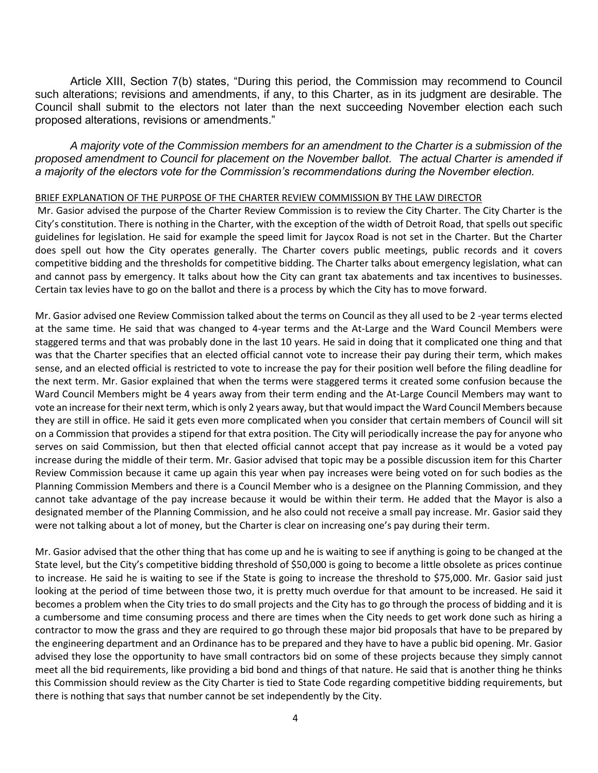Article XIII, Section 7(b) states, "During this period, the Commission may recommend to Council such alterations; revisions and amendments, if any, to this Charter, as in its judgment are desirable. The Council shall submit to the electors not later than the next succeeding November election each such proposed alterations, revisions or amendments."

*A majority vote of the Commission members for an amendment to the Charter is a submission of the proposed amendment to Council for placement on the November ballot. The actual Charter is amended if a majority of the electors vote for the Commission's recommendations during the November election.* 

#### BRIEF EXPLANATION OF THE PURPOSE OF THE CHARTER REVIEW COMMISSION BY THE LAW DIRECTOR

Mr. Gasior advised the purpose of the Charter Review Commission is to review the City Charter. The City Charter is the City's constitution. There is nothing in the Charter, with the exception of the width of Detroit Road, that spells out specific guidelines for legislation. He said for example the speed limit for Jaycox Road is not set in the Charter. But the Charter does spell out how the City operates generally. The Charter covers public meetings, public records and it covers competitive bidding and the thresholds for competitive bidding. The Charter talks about emergency legislation, what can and cannot pass by emergency. It talks about how the City can grant tax abatements and tax incentives to businesses. Certain tax levies have to go on the ballot and there is a process by which the City has to move forward.

Mr. Gasior advised one Review Commission talked about the terms on Council as they all used to be 2 -year terms elected at the same time. He said that was changed to 4-year terms and the At-Large and the Ward Council Members were staggered terms and that was probably done in the last 10 years. He said in doing that it complicated one thing and that was that the Charter specifies that an elected official cannot vote to increase their pay during their term, which makes sense, and an elected official is restricted to vote to increase the pay for their position well before the filing deadline for the next term. Mr. Gasior explained that when the terms were staggered terms it created some confusion because the Ward Council Members might be 4 years away from their term ending and the At-Large Council Members may want to vote an increase for their next term, which is only 2 years away, but that would impact the Ward Council Members because they are still in office. He said it gets even more complicated when you consider that certain members of Council will sit on a Commission that provides a stipend for that extra position. The City will periodically increase the pay for anyone who serves on said Commission, but then that elected official cannot accept that pay increase as it would be a voted pay increase during the middle of their term. Mr. Gasior advised that topic may be a possible discussion item for this Charter Review Commission because it came up again this year when pay increases were being voted on for such bodies as the Planning Commission Members and there is a Council Member who is a designee on the Planning Commission, and they cannot take advantage of the pay increase because it would be within their term. He added that the Mayor is also a designated member of the Planning Commission, and he also could not receive a small pay increase. Mr. Gasior said they were not talking about a lot of money, but the Charter is clear on increasing one's pay during their term.

Mr. Gasior advised that the other thing that has come up and he is waiting to see if anything is going to be changed at the State level, but the City's competitive bidding threshold of \$50,000 is going to become a little obsolete as prices continue to increase. He said he is waiting to see if the State is going to increase the threshold to \$75,000. Mr. Gasior said just looking at the period of time between those two, it is pretty much overdue for that amount to be increased. He said it becomes a problem when the City tries to do small projects and the City has to go through the process of bidding and it is a cumbersome and time consuming process and there are times when the City needs to get work done such as hiring a contractor to mow the grass and they are required to go through these major bid proposals that have to be prepared by the engineering department and an Ordinance has to be prepared and they have to have a public bid opening. Mr. Gasior advised they lose the opportunity to have small contractors bid on some of these projects because they simply cannot meet all the bid requirements, like providing a bid bond and things of that nature. He said that is another thing he thinks this Commission should review as the City Charter is tied to State Code regarding competitive bidding requirements, but there is nothing that says that number cannot be set independently by the City.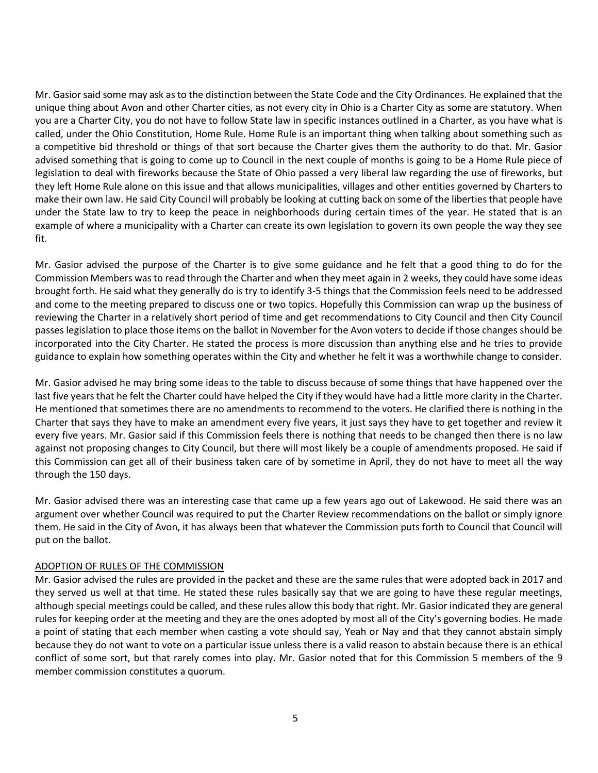Mr. Gasior said some may ask as to the distinction between the State Code and the City Ordinances. He explained that the unique thing about Avon and other Charter cities, as not every city in Ohio is a Charter City as some are statutory. When you are a Charter City, you do not have to follow State law in specific instances outlined in a Charter, as you have what is called, under the Ohio Constitution, Home Rule. Home Rule is an important thing when talking about something such as a competitive bid threshold or things of that sort because the Charter gives them the authority to do that. Mr. Gasior advised something that is going to come up to Council in the next couple of months is going to be a Home Rule piece of legislation to deal with fireworks because the State of Ohio passed a very liberal law regarding the use of fireworks, but they left Home Rule alone on this issue and that allows municipalities, villages and other entities governed by Charters to make their own law. He said City Council will probably be looking at cutting back on some of the liberties that people have under the State law to try to keep the peace in neighborhoods during certain times of the year. He stated that is an example of where a municipality with a Charter can create its own legislation to govern its own people the way they see fit.

Mr. Gasior advised the purpose of the Charter is to give some guidance and he felt that a good thing to do for the Commission Members was to read through the Charter and when they meet again in 2 weeks, they could have some ideas brought forth. He said what they generally do is try to identify 3-5 things that the Commission feels need to be addressed and come to the meeting prepared to discuss one or two topics. Hopefully this Commission can wrap up the business of reviewing the Charter in a relatively short period of time and get recommendations to City Council and then City Council passes legislation to place those items on the ballot in November for the Avon voters to decide if those changes should be incorporated into the City Charter. He stated the process is more discussion than anything else and he tries to provide guidance to explain how something operates within the City and whether he felt it was a worthwhile change to consider.

Mr. Gasior advised he may bring some ideas to the table to discuss because of some things that have happened over the last five years that he felt the Charter could have helped the City if they would have had a little more clarity in the Charter. He mentioned that sometimes there are no amendments to recommend to the voters. He clarified there is nothing in the Charter that says they have to make an amendment every five years, it just says they have to get together and review it every five years. Mr. Gasior said if this Commission feels there is nothing that needs to be changed then there is no law against not proposing changes to City Council, but there will most likely be a couple of amendments proposed. He said if this Commission can get all of their business taken care of by sometime in April, they do not have to meet all the way through the 150 days.

Mr. Gasior advised there was an interesting case that came up a few years ago out of Lakewood. He said there was an argument over whether Council was required to put the Charter Review recommendations on the ballot or simply ignore them. He said in the City of Avon, it has always been that whatever the Commission puts forth to Council that Council will put on the ballot.

## ADOPTION OF RULES OF THE COMMISSION

Mr. Gasior advised the rules are provided in the packet and these are the same rules that were adopted back in 2017 and they served us well at that time. He stated these rules basically say that we are going to have these regular meetings, although special meetings could be called, and these rules allow this body that right. Mr. Gasior indicated they are general rules for keeping order at the meeting and they are the ones adopted by most all of the City's governing bodies. He made a point of stating that each member when casting a vote should say, Yeah or Nay and that they cannot abstain simply because they do not want to vote on a particular issue unless there is a valid reason to abstain because there is an ethical conflict of some sort, but that rarely comes into play. Mr. Gasior noted that for this Commission 5 members of the 9 member commission constitutes a quorum.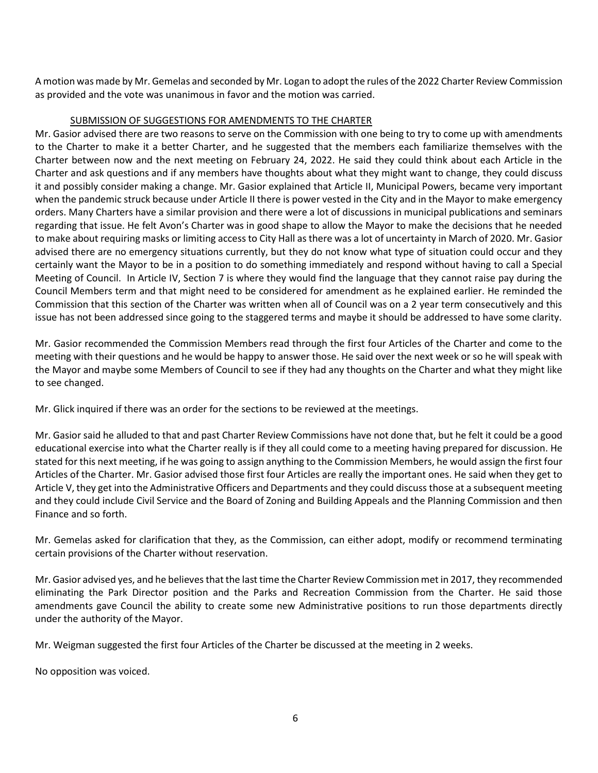A motion was made by Mr. Gemelas and seconded by Mr. Logan to adopt the rules of the 2022 Charter Review Commission as provided and the vote was unanimous in favor and the motion was carried.

# SUBMISSION OF SUGGESTIONS FOR AMENDMENTS TO THE CHARTER

Mr. Gasior advised there are two reasons to serve on the Commission with one being to try to come up with amendments to the Charter to make it a better Charter, and he suggested that the members each familiarize themselves with the Charter between now and the next meeting on February 24, 2022. He said they could think about each Article in the Charter and ask questions and if any members have thoughts about what they might want to change, they could discuss it and possibly consider making a change. Mr. Gasior explained that Article II, Municipal Powers, became very important when the pandemic struck because under Article II there is power vested in the City and in the Mayor to make emergency orders. Many Charters have a similar provision and there were a lot of discussions in municipal publications and seminars regarding that issue. He felt Avon's Charter was in good shape to allow the Mayor to make the decisions that he needed to make about requiring masks or limiting access to City Hall as there was a lot of uncertainty in March of 2020. Mr. Gasior advised there are no emergency situations currently, but they do not know what type of situation could occur and they certainly want the Mayor to be in a position to do something immediately and respond without having to call a Special Meeting of Council. In Article IV, Section 7 is where they would find the language that they cannot raise pay during the Council Members term and that might need to be considered for amendment as he explained earlier. He reminded the Commission that this section of the Charter was written when all of Council was on a 2 year term consecutively and this issue has not been addressed since going to the staggered terms and maybe it should be addressed to have some clarity.

Mr. Gasior recommended the Commission Members read through the first four Articles of the Charter and come to the meeting with their questions and he would be happy to answer those. He said over the next week or so he will speak with the Mayor and maybe some Members of Council to see if they had any thoughts on the Charter and what they might like to see changed.

Mr. Glick inquired if there was an order for the sections to be reviewed at the meetings.

Mr. Gasior said he alluded to that and past Charter Review Commissions have not done that, but he felt it could be a good educational exercise into what the Charter really is if they all could come to a meeting having prepared for discussion. He stated for this next meeting, if he was going to assign anything to the Commission Members, he would assign the first four Articles of the Charter. Mr. Gasior advised those first four Articles are really the important ones. He said when they get to Article V, they get into the Administrative Officers and Departments and they could discuss those at a subsequent meeting and they could include Civil Service and the Board of Zoning and Building Appeals and the Planning Commission and then Finance and so forth.

Mr. Gemelas asked for clarification that they, as the Commission, can either adopt, modify or recommend terminating certain provisions of the Charter without reservation.

Mr. Gasior advised yes, and he believes that the last time the Charter Review Commission met in 2017, they recommended eliminating the Park Director position and the Parks and Recreation Commission from the Charter. He said those amendments gave Council the ability to create some new Administrative positions to run those departments directly under the authority of the Mayor.

Mr. Weigman suggested the first four Articles of the Charter be discussed at the meeting in 2 weeks.

No opposition was voiced.